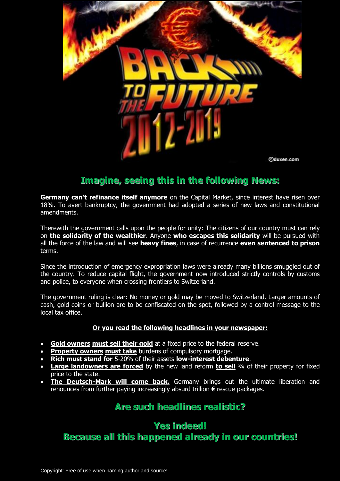

## **Imagine, seeing this in the following News:**

**Germany can't refinance itself anymore** on the Capital Market, since interest have risen over 18%. To avert bankruptcy, the government had adopted a series of new laws and constitutional amendments.

Therewith the government calls upon the people for unity: The citizens of our country must can rely on **the solidarity of the wealthier**. Anyone **who escapes this solidarity** will be pursued with all the force of the law and will see **heavy fines**, in case of recurrence **even sentenced to prison** terms.

Since the introduction of emergency expropriation laws were already many billions smuggled out of the country. To reduce capital flight, the government now introduced strictly controls by customs and police, to everyone when crossing frontiers to Switzerland.

The government ruling is clear: No money or gold may be moved to Switzerland. Larger amounts of cash, gold coins or bullion are to be confiscated on the spot, followed by a control message to the local tax office.

### **Or you read the following headlines in your newspaper:**

- **Gold owners must sell their gold** at a fixed price to the federal reserve.
- **Property owners must take** burdens of compulsory mortgage.
- **Rich must stand for** 5-20% of their assets **low-interest debenture**.
- **Large landowners are forced** by the new land reform **to sell** 34 of their property for fixed price to the state.
- **The Deutsch-Mark will come back.** Germany brings out the ultimate liberation and renounces from further paying increasingly absurd trillion  $\epsilon$  rescue packages.

# **Are such headlines realistic?**

# **Yes indeed! Because all this happened already in our countries!**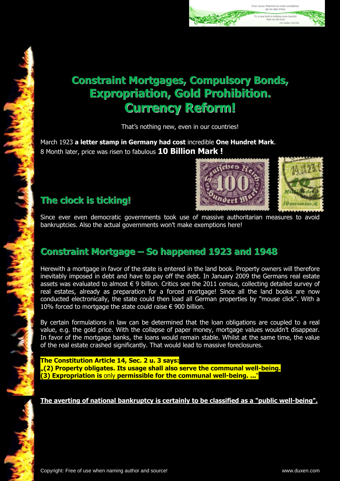

That's nothing new, even in our countries!

March 1923 **a letter stamp in Germany had cost** incredible **One Hundret Mark**. 8 Month later, price was risen to fabulous **10 Billion Mark !**



vvannon ist mun<br>als ein alter Irrhir To a new truth is nothing more harmful<br>than an old error

J.W. Goethe 1749-1832

# **The clock is ticking!**

**CONTRACTOR** 

THE CALL OF

Since ever even democratic governments took use of massive authoritarian measures to avoid bankruptcies. Also the actual governments won't make exemptions here!

# **Constraint Mortgage – So happened 1923 and 1948**

Herewith a mortgage in favor of the state is entered in the land book. Property owners will therefore inevitably imposed in debt and have to pay off the debt. In January 2009 the Germans real estate assets was evaluated to almost € 9 billion. Critics see the 2011 census, collecting detailed survey of real estates, already as preparation for a forced mortgage! Since all the land books are now conducted electronically, the state could then load all German properties by "mouse click". With a 10% forced to mortgage the state could raise  $\epsilon$  900 billion.

By certain formulations in law can be determined that the loan obligations are coupled to a real value, e.g. the gold price. With the collapse of paper money, mortgage values wouldn't disappear. In favor of the mortgage banks, the loans would remain stable. Whilst at the same time, the value of the real estate crashed significantly. That would lead to massive foreclosures.

**The Constitution Article 14, Sec. 2 u. 3 says: "(2) Property obligates. Its usage shall also serve the communal well-being. (3) Expropriation is** only **permissible for the communal well-being. ...**"

### **The averting of national bankruptcy is certainly to be classified as a "public well-being".**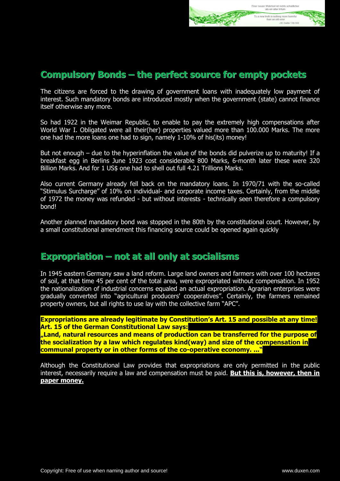

### **Compulsory Bonds – the perfect source for empty pockets**

The citizens are forced to the drawing of government loans with inadequately low payment of interest. Such mandatory bonds are introduced mostly when the government (state) cannot finance itself otherwise any more.

So had 1922 in the Weimar Republic, to enable to pay the extremely high compensations after World War I. Obligated were all their(her) properties valued more than 100.000 Marks. The more one had the more loans one had to sign, namely 1-10% of his(its) money!

But not enough – due to the hyperinflation the value of the bonds did pulverize up to maturity! If a breakfast egg in Berlins June 1923 cost considerable 800 Marks, 6-month later these were 320 Billion Marks. And for 1 US\$ one had to shell out full 4.21 Trillions Marks.

Also current Germany already fell back on the mandatory loans. In 1970/71 with the so-called "Stimulus Surcharge" of 10% on individual- and corporate income taxes. Certainly, from the middle of 1972 the money was refunded - but without interests - technically seen therefore a compulsory bond!

Another planned mandatory bond was stopped in the 80th by the constitutional court. However, by a small constitutional amendment this financing source could be opened again quickly

### **Expropriation – not at all only at socialisms**

In 1945 eastern Germany saw a land reform. Large land owners and farmers with over 100 hectares of soil, at that time 45 per cent of the total area, were expropriated without compensation. In 1952 the nationalization of industrial concerns equaled an actual expropriation. Agrarian enterprises were gradually converted into "agricultural producers' cooperatives". Certainly, the farmers remained property owners, but all rights to use lay with the collective farm "APC".

**Expropriations are already legitimate by Constitution's Art. 15 and possible at any time! Art. 15 of the German Constitutional Law says:** 

**"Land, natural resources and means of production can be transferred for the purpose of the socialization by a law which regulates kind(way) and size of the compensation in communal property or in other forms of the co-operative economy. ..."**

Although the Constitutional Law provides that expropriations are only permitted in the public interest, necessarily require a law and compensation must be paid. **But this is, however, then in paper money.**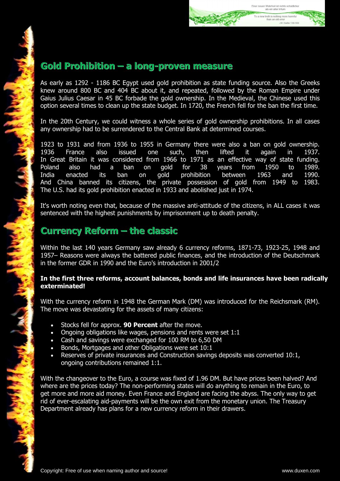

# **Gold Prohibition – a long-proven measure**

As early as 1292 - 1186 BC Egypt used gold prohibition as state funding source. Also the Greeks knew around 800 BC and 404 BC about it, and repeated, followed by the Roman Empire under Gaius Julius Caesar in 45 BC forbade the gold ownership. In the Medieval, the Chinese used this option several times to clean up the state budget. In 1720, the French fell for the ban the first time.

In the 20th Century, we could witness a whole series of gold ownership prohibitions. In all cases any ownership had to be surrendered to the Central Bank at determined courses.

1923 to 1931 and from 1936 to 1955 in Germany there were also a ban on gold ownership. 1936 France also issued one such, then lifted it again in 1937. In Great Britain it was considered from 1966 to 1971 as an effective way of state funding. Poland also had a ban on gold for 38 years from 1950 to 1989. India enacted its ban on gold prohibition between 1963 and 1990. And China banned its citizens, the private possession of gold from 1949 to 1983. The U.S. had its gold prohibition enacted in 1933 and abolished just in 1974.

It's worth noting even that, because of the massive anti-attitude of the citizens, in ALL cases it was sentenced with the highest punishments by imprisonment up to death penalty.

### **Currency Reform – the classic**

The Company of State

THE CALL AND

Within the last 140 years Germany saw already 6 currency reforms, 1871-73, 1923-25, 1948 and 1957– Reasons were always the battered public finances, and the introduction of the Deutschmark in the former GDR in 1990 and the Euro's introduction in 2001/2

#### **In the first three reforms, account balances, bonds and life insurances have been radically exterminated!**

With the currency reform in 1948 the German Mark (DM) was introduced for the Reichsmark (RM). The move was devastating for the assets of many citizens:

- Stocks fell for approx. **90 Percent** after the move.
- Ongoing obligations like wages, pensions and rents were set 1:1
- Cash and savings were exchanged for 100 RM to 6,50 DM
- Bonds, Mortgages and other Obligations were set 10:1
- Reserves of private insurances and Construction savings deposits was converted 10:1, ongoing contributions remained 1:1.

With the changeover to the Euro, a course was fixed of 1.96 DM. But have prices been halved? And where are the prices today? The non-performing states will do anything to remain in the Euro, to get more and more aid money. Even France and England are facing the abyss. The only way to get rid of ever-escalating aid-payments will be the own exit from the monetary union. The Treasury Department already has plans for a new currency reform in their drawers.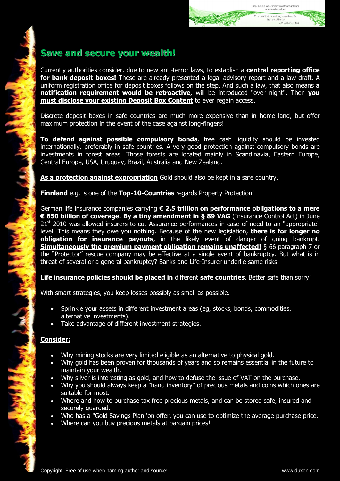

## **Save and secure your wealth!**

Currently authorities consider, due to new anti-terror laws, to establish a **central reporting office for bank deposit boxes!** These are already presented a legal advisory report and a law draft. A uniform registration office for deposit boxes follows on the step. And such a law, that also means **a notification requirement would be retroactive,** will be introduced "over night". Then **you must disclose your existing Deposit Box Content** to ever regain access.

Discrete deposit boxes in safe countries are much more expensive than in home land, but offer maximum protection in the event of the case against long-fingers!

**To defend against possible compulsory bonds**, free cash liquidity should be invested internationally, preferably in safe countries. A very good protection against compulsory bonds are investments in forest areas. Those forests are located mainly in Scandinavia, Eastern Europe, Central Europe, USA, Uruguay, Brazil, Australia and New Zealand.

**As a protection against expropriation** Gold should also be kept in a safe country.

**Finnland** e.g. is one of the **Top-10-Countries** regards Property Protection!

German life insurance companies carrying **€ 2.5 trillion on performance obligations to a mere € 650 billion of coverage. By a tiny amendment in § 89 VAG** (Insurance Control Act) in June 21<sup>st</sup> 2010 was allowed insurers to cut Assurance performances in case of need to an "appropriate" level. This means they owe you nothing. Because of the new legislation, **there is for longer no obligation for insurance payouts**, in the likely event of danger of going bankrupt. **Simultaneously the premium payment obligation remains unaffected!** § 66 paragraph 7 or the "Protector" rescue company may be effective at a single event of bankruptcy. But what is in threat of several or a general bankruptcy? Banks and Life-Insurer underlie same risks.

### **Life insurance policies should be placed in** different **safe countries**. Better safe than sorry!

With smart strategies, you keep losses possibly as small as possible.

- Sprinkle your assets in different investment areas (eg, stocks, bonds, commodities, alternative investments).
- Take advantage of different investment strategies.

### **Consider:**

**PARTIES AND ARTS** 

**PARTY CARD AND** 

- Why mining stocks are very limited eligible as an alternative to physical gold.
- Why gold has been proven for thousands of years and so remains essential in the future to maintain your wealth.
- Why silver is interesting as gold, and how to defuse the issue of VAT on the purchase.
- Why you should always keep a "hand inventory" of precious metals and coins which ones are suitable for most.
- Where and how to purchase tax free precious metals, and can be stored safe, insured and securely guarded.
- Who has a "Gold Savings Plan 'on offer, you can use to optimize the average purchase price.
- Where can you buy precious metals at bargain prices!